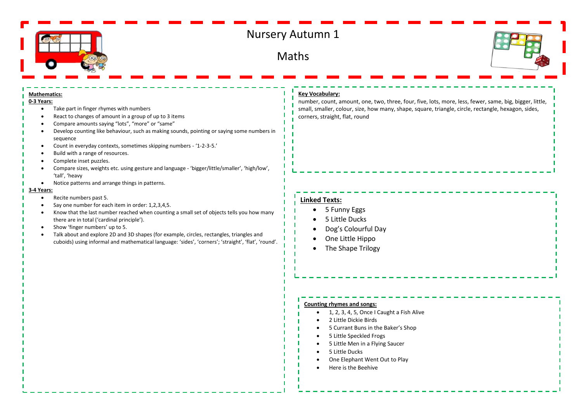

# Nursery Autumn 1

Maths



#### **Mathematics:**

#### **0-3 Years:**

- Take part in finger rhymes with numbers
- React to changes of amount in a group of up to 3 items
- Compare amounts saying "lots", "more" or "same"
- Develop counting like behaviour, such as making sounds, pointing or saying some numbers in sequence
- Count in everyday contexts, sometimes skipping numbers '1-2-3-5.'
- Build with a range of resources.
- Complete inset puzzles.
- Compare sizes, weights etc. using gesture and language 'bigger/little/smaller', 'high/low', 'tall', 'heavy
- Notice patterns and arrange things in patterns.

#### **3-4 Years:**

- Recite numbers past 5.
- Say one number for each item in order: 1,2,3,4,5.
- Know that the last number reached when counting a small set of objects tells you how many there are in total ('cardinal principle').
- Show 'finger numbers' up to 5.
- Talk about and explore 2D and 3D shapes (for example, circles, rectangles, triangles and cuboids) using informal and mathematical language: 'sides', 'corners'; 'straight', 'flat', 'round'.

### **Key Vocabulary:**

number, count, amount, one, two, three, four, five, lots, more, less, fewer, same, big, bigger, little, small, smaller, colour, size, how many, shape, square, triangle, circle, rectangle, hexagon, sides, corners, straight, flat, round

## **Linked Texts:**

- 5 Funny Eggs
- 5 Little Ducks
- Dog's Colourful Day
- One Little Hippo
- The Shape Trilogy

#### **Counting rhymes and songs:**

- 1, 2, 3, 4, 5, Once I Caught a Fish Alive
- 2 Little Dickie Birds
- 5 Currant Buns in the Baker's Shop
- 5 Little Speckled Frogs
- 5 Little Men in a Flying Saucer
- 5 Little Ducks
- One Elephant Went Out to Play
- Here is the Beehive